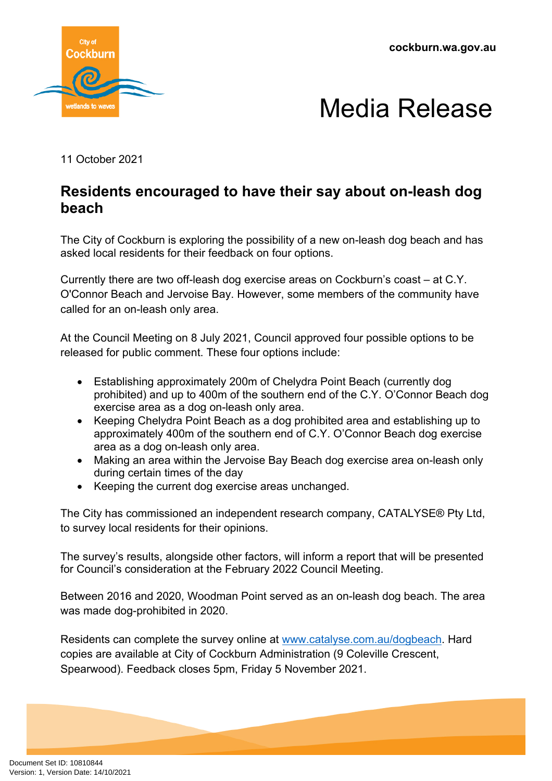**cockburn.wa.gov.au**





11 October 2021

## **Residents encouraged to have their say about on-leash dog beach**

The City of Cockburn is exploring the possibility of a new on-leash dog beach and has asked local residents for their feedback on four options.

Currently there are two off-leash dog exercise areas on Cockburn's coast – at C.Y. O'Connor Beach and Jervoise Bay. However, some members of the community have called for an on-leash only area.

At the Council Meeting on 8 July 2021, Council approved four possible options to be released for public comment. These four options include:

- Establishing approximately 200m of Chelydra Point Beach (currently dog prohibited) and up to 400m of the southern end of the C.Y. O'Connor Beach dog exercise area as a dog on-leash only area.
- Keeping Chelydra Point Beach as a dog prohibited area and establishing up to approximately 400m of the southern end of C.Y. O'Connor Beach dog exercise area as a dog on-leash only area.
- Making an area within the Jervoise Bay Beach dog exercise area on-leash only during certain times of the day
- Keeping the current dog exercise areas unchanged.

The City has commissioned an independent research company, CATALYSE® Pty Ltd, to survey local residents for their opinions.

The survey's results, alongside other factors, will inform a report that will be presented for Council's consideration at the February 2022 Council Meeting.

Between 2016 and 2020, Woodman Point served as an on-leash dog beach. The area was made dog-prohibited in 2020.

Residents can complete the survey online at [www.catalyse.com.au/dogbeach](http://www.catalyse.com.au/dogbeach). Hard copies are available at City of Cockburn Administration (9 Coleville Crescent, Spearwood). Feedback closes 5pm, Friday 5 November 2021.